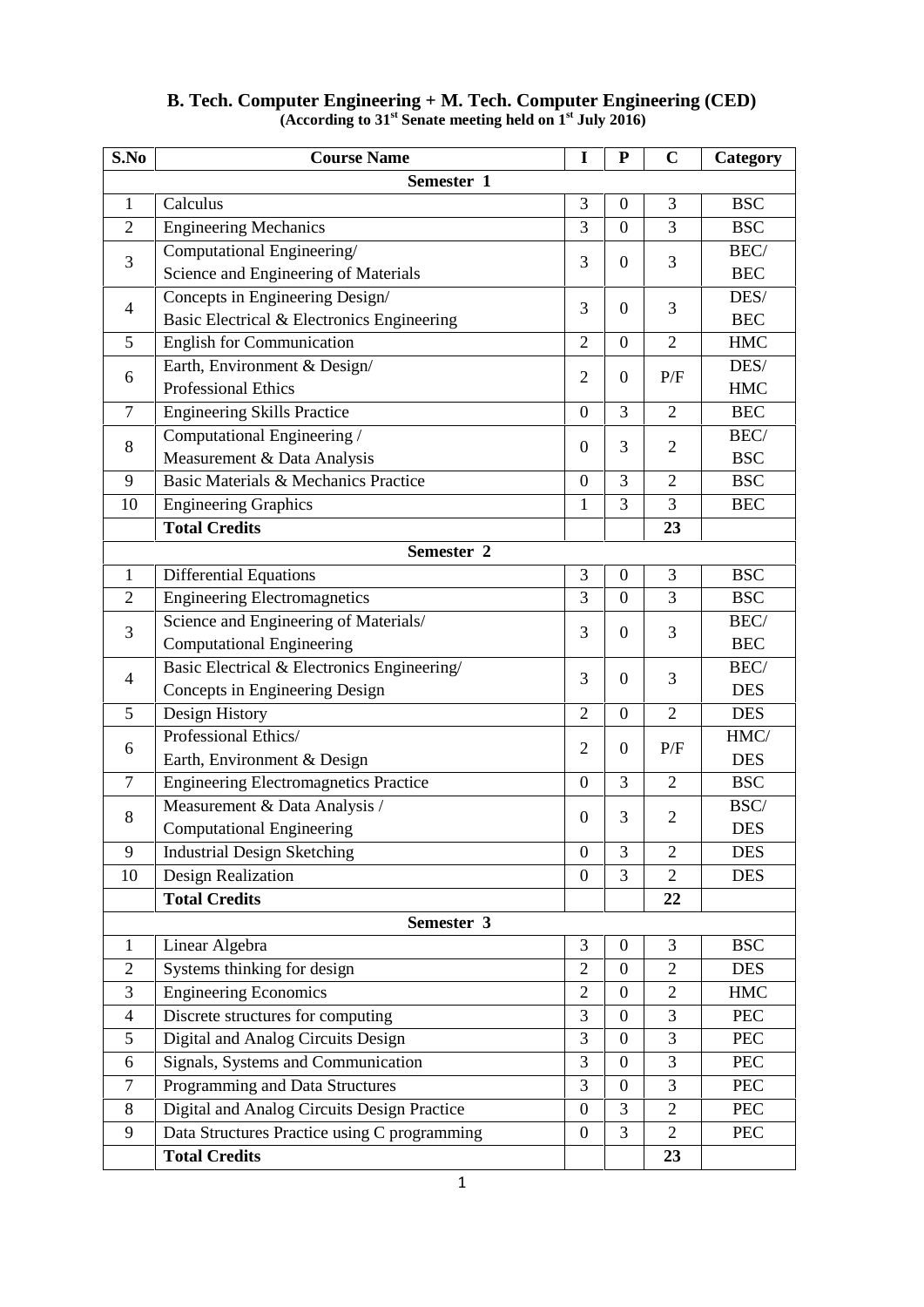| S.No           | <b>Course Name</b>                           | I                | ${\bf P}$        | $\mathbf C$    | Category   |
|----------------|----------------------------------------------|------------------|------------------|----------------|------------|
|                | Semester 1                                   |                  |                  |                |            |
| $\mathbf{1}$   | Calculus                                     | 3                | $\mathbf{0}$     | 3              | <b>BSC</b> |
| $\overline{2}$ | <b>Engineering Mechanics</b>                 | 3                | $\overline{0}$   | 3              | <b>BSC</b> |
| 3              | Computational Engineering/                   |                  | $\boldsymbol{0}$ |                | BEC/       |
|                | Science and Engineering of Materials         | 3                |                  | 3              | <b>BEC</b> |
| $\overline{4}$ | Concepts in Engineering Design/              |                  |                  |                | DES/       |
|                | Basic Electrical & Electronics Engineering   | 3                | $\boldsymbol{0}$ | 3              | <b>BEC</b> |
| 5              | <b>English for Communication</b>             | $\overline{2}$   | $\boldsymbol{0}$ | $\overline{2}$ | <b>HMC</b> |
|                | Earth, Environment & Design/                 |                  | $\boldsymbol{0}$ |                | DES/       |
| 6              | <b>Professional Ethics</b>                   | $\overline{2}$   |                  | P/F            | <b>HMC</b> |
| $\tau$         | <b>Engineering Skills Practice</b>           | $\boldsymbol{0}$ | 3                | $\overline{2}$ | <b>BEC</b> |
|                | Computational Engineering /                  |                  |                  |                | BEC/       |
| 8              | Measurement & Data Analysis                  | $\boldsymbol{0}$ | 3                | $\overline{2}$ | <b>BSC</b> |
| 9              | Basic Materials & Mechanics Practice         | $\boldsymbol{0}$ | 3                | $\overline{2}$ | <b>BSC</b> |
| 10             | <b>Engineering Graphics</b>                  | $\mathbf{1}$     | 3                | 3              | <b>BEC</b> |
|                | <b>Total Credits</b>                         |                  |                  | 23             |            |
|                | Semester 2                                   |                  |                  |                |            |
| $\mathbf{1}$   | <b>Differential Equations</b>                | 3                | $\boldsymbol{0}$ | 3              | <b>BSC</b> |
| $\overline{2}$ | <b>Engineering Electromagnetics</b>          | 3                | $\boldsymbol{0}$ | 3              | <b>BSC</b> |
|                | Science and Engineering of Materials/        |                  |                  |                | BEC/       |
| 3              | <b>Computational Engineering</b>             | 3                | $\boldsymbol{0}$ | 3              | <b>BEC</b> |
| 4              | Basic Electrical & Electronics Engineering/  |                  |                  |                | BEC/       |
|                | Concepts in Engineering Design               | 3                | $\boldsymbol{0}$ | 3              | <b>DES</b> |
| 5              | Design History                               | $\overline{2}$   | $\boldsymbol{0}$ | $\overline{2}$ | <b>DES</b> |
|                | Professional Ethics/                         | $\overline{2}$   |                  |                | HMC/       |
| 6              | Earth, Environment & Design                  |                  | $\boldsymbol{0}$ | P/F            | <b>DES</b> |
| $\overline{7}$ | <b>Engineering Electromagnetics Practice</b> | $\boldsymbol{0}$ | 3                | $\overline{2}$ | <b>BSC</b> |
| 8              | Measurement & Data Analysis /                |                  |                  | $\overline{2}$ | BSC/       |
|                | <b>Computational Engineering</b>             | $\boldsymbol{0}$ | 3                |                | <b>DES</b> |
| 9              | <b>Industrial Design Sketching</b>           | $\boldsymbol{0}$ | 3                | $\overline{c}$ | <b>DES</b> |
| 10             | Design Realization                           | $\boldsymbol{0}$ | 3                | 2              | <b>DES</b> |
|                | <b>Total Credits</b>                         |                  |                  | 22             |            |
|                | Semester 3                                   |                  |                  |                |            |
| $\mathbf{1}$   | Linear Algebra                               | 3                | $\boldsymbol{0}$ | 3              | <b>BSC</b> |
| $\overline{2}$ | Systems thinking for design                  | $\overline{2}$   | $\boldsymbol{0}$ | $\overline{2}$ | <b>DES</b> |
| 3              | <b>Engineering Economics</b>                 | $\overline{2}$   | $\boldsymbol{0}$ | $\overline{2}$ | <b>HMC</b> |
| $\overline{4}$ | Discrete structures for computing            | 3                | $\boldsymbol{0}$ | 3              | <b>PEC</b> |
| 5              | Digital and Analog Circuits Design           | $\overline{3}$   | $\overline{0}$   | 3              | PEC        |
| 6              | Signals, Systems and Communication           | 3                | $\boldsymbol{0}$ | 3              | <b>PEC</b> |
| $\tau$         | Programming and Data Structures              | 3                | $\boldsymbol{0}$ | 3              | <b>PEC</b> |
| 8              | Digital and Analog Circuits Design Practice  | $\boldsymbol{0}$ | 3                | $\overline{2}$ | <b>PEC</b> |
| 9              | Data Structures Practice using C programming | $\boldsymbol{0}$ | 3                | $\overline{2}$ | <b>PEC</b> |
|                | <b>Total Credits</b>                         |                  |                  | 23             |            |
|                |                                              |                  |                  |                |            |

## **B. Tech. Computer Engineering + M. Tech. Computer Engineering (CED) (According to 31st Senate meeting held on 1st July 2016)**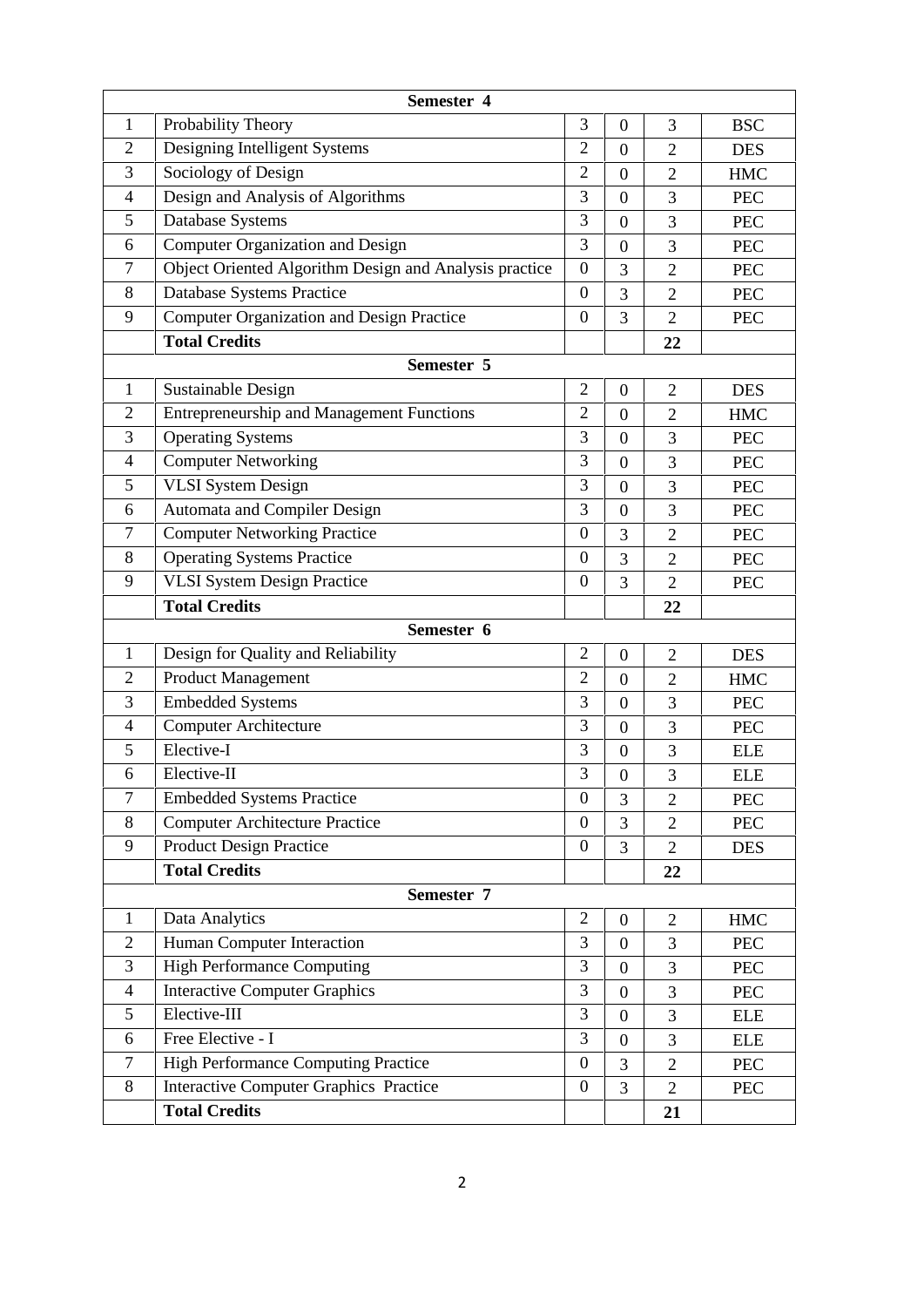|                | Semester 4                                             |                  |                  |                |            |
|----------------|--------------------------------------------------------|------------------|------------------|----------------|------------|
| $\mathbf{1}$   | Probability Theory                                     | 3                | $\boldsymbol{0}$ | 3              | <b>BSC</b> |
| $\overline{2}$ | Designing Intelligent Systems                          | $\overline{2}$   | $\overline{0}$   | $\overline{2}$ | <b>DES</b> |
| 3              | Sociology of Design                                    | $\overline{2}$   | $\boldsymbol{0}$ | $\overline{2}$ | <b>HMC</b> |
| $\overline{4}$ | Design and Analysis of Algorithms                      | 3                | $\boldsymbol{0}$ | 3              | <b>PEC</b> |
| 5              | Database Systems                                       | 3                | $\boldsymbol{0}$ | 3              | <b>PEC</b> |
| 6              | Computer Organization and Design                       | 3                | $\boldsymbol{0}$ | 3              | <b>PEC</b> |
| $\overline{7}$ | Object Oriented Algorithm Design and Analysis practice | $\boldsymbol{0}$ | 3                | $\overline{2}$ | <b>PEC</b> |
| 8              | Database Systems Practice                              | $\boldsymbol{0}$ | 3                | $\overline{2}$ | <b>PEC</b> |
| 9              | <b>Computer Organization and Design Practice</b>       | $\boldsymbol{0}$ | 3                | $\overline{2}$ | <b>PEC</b> |
|                | <b>Total Credits</b>                                   |                  |                  | 22             |            |
|                | Semester 5                                             |                  |                  |                |            |
| $\mathbf{1}$   | Sustainable Design                                     | $\overline{2}$   | $\boldsymbol{0}$ | $\overline{2}$ | <b>DES</b> |
| $\overline{2}$ | <b>Entrepreneurship and Management Functions</b>       | $\overline{2}$   | $\boldsymbol{0}$ | $\overline{2}$ | <b>HMC</b> |
| 3              | <b>Operating Systems</b>                               | 3                | $\boldsymbol{0}$ | 3              | <b>PEC</b> |
| $\overline{4}$ | <b>Computer Networking</b>                             | 3                | $\boldsymbol{0}$ | 3              | <b>PEC</b> |
| 5              | <b>VLSI</b> System Design                              | 3                | $\boldsymbol{0}$ | 3              | <b>PEC</b> |
| 6              | Automata and Compiler Design                           | 3                | $\boldsymbol{0}$ | 3              | <b>PEC</b> |
| $\overline{7}$ | <b>Computer Networking Practice</b>                    | $\boldsymbol{0}$ | 3                | $\overline{2}$ | <b>PEC</b> |
| 8              | <b>Operating Systems Practice</b>                      | $\boldsymbol{0}$ | 3                | $\overline{2}$ | <b>PEC</b> |
| 9              | <b>VLSI System Design Practice</b>                     | $\boldsymbol{0}$ | 3                | $\overline{2}$ | <b>PEC</b> |
|                | <b>Total Credits</b>                                   |                  |                  | 22             |            |
|                | Semester 6                                             |                  |                  |                |            |
| 1              | Design for Quality and Reliability                     | $\mathbf{2}$     | $\boldsymbol{0}$ | $\mathfrak{2}$ | <b>DES</b> |
| $\overline{2}$ | <b>Product Management</b>                              | $\overline{2}$   | $\boldsymbol{0}$ | $\overline{2}$ | <b>HMC</b> |
| 3              | <b>Embedded Systems</b>                                | 3                | $\boldsymbol{0}$ | 3              | <b>PEC</b> |
| $\overline{4}$ | <b>Computer Architecture</b>                           | 3                | $\overline{0}$   | 3              | <b>PEC</b> |
| 5              | Elective-I                                             | 3                | $\boldsymbol{0}$ | 3              | <b>ELE</b> |
| 6              | Elective-II                                            | 3                | $\boldsymbol{0}$ | 3              | <b>ELE</b> |
| $\overline{7}$ | <b>Embedded Systems Practice</b>                       | $\boldsymbol{0}$ | 3                | $\overline{2}$ | <b>PEC</b> |
| 8              | <b>Computer Architecture Practice</b>                  | $\boldsymbol{0}$ | 3                | $\overline{2}$ | <b>PEC</b> |
| 9              | <b>Product Design Practice</b>                         | $\boldsymbol{0}$ | 3                | $\overline{2}$ | <b>DES</b> |
|                | <b>Total Credits</b>                                   |                  |                  | 22             |            |
|                | Semester 7                                             |                  |                  |                |            |
| 1              | Data Analytics                                         | $\mathbf{2}$     | $\boldsymbol{0}$ | $\overline{c}$ | <b>HMC</b> |
| $\overline{2}$ | Human Computer Interaction                             | 3                | $\boldsymbol{0}$ | 3              | <b>PEC</b> |
| 3              | <b>High Performance Computing</b>                      | 3                | $\boldsymbol{0}$ | 3              | PEC        |
| 4              | <b>Interactive Computer Graphics</b>                   | 3                | $\boldsymbol{0}$ | 3              | PEC        |
| 5              | Elective-III                                           | $\overline{3}$   | $\overline{0}$   | 3              | <b>ELE</b> |
| 6              | Free Elective - I                                      | 3                | $\boldsymbol{0}$ | 3              | <b>ELE</b> |
| $\overline{7}$ | High Performance Computing Practice                    | $\boldsymbol{0}$ | 3                | $\overline{2}$ | <b>PEC</b> |
| 8              | <b>Interactive Computer Graphics Practice</b>          | $\boldsymbol{0}$ | 3                | $\overline{2}$ | PEC        |
|                | <b>Total Credits</b>                                   |                  |                  | 21             |            |